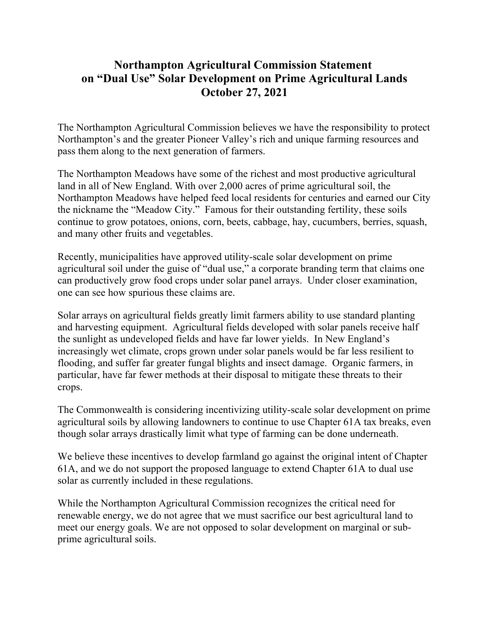## **Northampton Agricultural Commission Statement on "Dual Use" Solar Development on Prime Agricultural Lands October 27, 2021**

The Northampton Agricultural Commission believes we have the responsibility to protect Northampton's and the greater Pioneer Valley's rich and unique farming resources and pass them along to the next generation of farmers.

The Northampton Meadows have some of the richest and most productive agricultural land in all of New England. With over 2,000 acres of prime agricultural soil, the Northampton Meadows have helped feed local residents for centuries and earned our City the nickname the "Meadow City." Famous for their outstanding fertility, these soils continue to grow potatoes, onions, corn, beets, cabbage, hay, cucumbers, berries, squash, and many other fruits and vegetables.

Recently, municipalities have approved utility-scale solar development on prime agricultural soil under the guise of "dual use," a corporate branding term that claims one can productively grow food crops under solar panel arrays. Under closer examination, one can see how spurious these claims are.

Solar arrays on agricultural fields greatly limit farmers ability to use standard planting and harvesting equipment. Agricultural fields developed with solar panels receive half the sunlight as undeveloped fields and have far lower yields. In New England's increasingly wet climate, crops grown under solar panels would be far less resilient to flooding, and suffer far greater fungal blights and insect damage. Organic farmers, in particular, have far fewer methods at their disposal to mitigate these threats to their crops.

The Commonwealth is considering incentivizing utility-scale solar development on prime agricultural soils by allowing landowners to continue to use Chapter 61A tax breaks, even though solar arrays drastically limit what type of farming can be done underneath.

We believe these incentives to develop farmland go against the original intent of Chapter 61A, and we do not support the proposed language to extend Chapter 61A to dual use solar as currently included in these regulations.

While the Northampton Agricultural Commission recognizes the critical need for renewable energy, we do not agree that we must sacrifice our best agricultural land to meet our energy goals. We are not opposed to solar development on marginal or subprime agricultural soils.